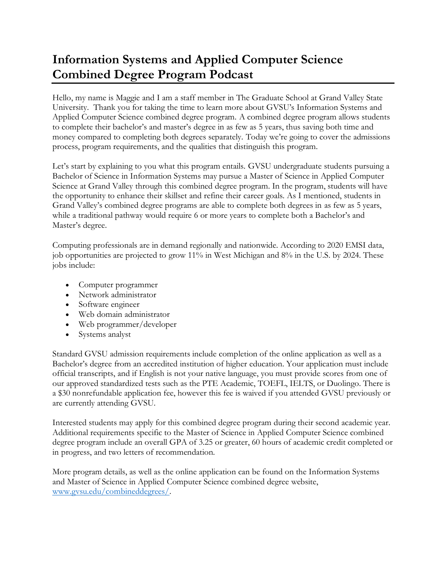## **Information Systems and Applied Computer Science Combined Degree Program Podcast**

Hello, my name is Maggie and I am a staff member in The Graduate School at Grand Valley State University. Thank you for taking the time to learn more about GVSU's Information Systems and Applied Computer Science combined degree program. A combined degree program allows students to complete their bachelor's and master's degree in as few as 5 years, thus saving both time and money compared to completing both degrees separately. Today we're going to cover the admissions process, program requirements, and the qualities that distinguish this program.

Let's start by explaining to you what this program entails. GVSU undergraduate students pursuing a Bachelor of Science in Information Systems may pursue a Master of Science in Applied Computer Science at Grand Valley through this combined degree program. In the program, students will have the opportunity to enhance their skillset and refine their career goals. As I mentioned, students in Grand Valley's combined degree programs are able to complete both degrees in as few as 5 years, while a traditional pathway would require 6 or more years to complete both a Bachelor's and Master's degree.

Computing professionals are in demand regionally and nationwide. According to 2020 EMSI data, job opportunities are projected to grow 11% in West Michigan and 8% in the U.S. by 2024. These jobs include:

- Computer programmer
- Network administrator
- Software engineer
- Web domain administrator
- Web programmer/developer
- Systems analyst

Standard GVSU admission requirements include completion of the online application as well as a Bachelor's degree from an accredited institution of higher education. Your application must include official transcripts, and if English is not your native language, you must provide scores from one of our approved standardized tests such as the PTE Academic, TOEFL, IELTS, or Duolingo. There is a \$30 nonrefundable application fee, however this fee is waived if you attended GVSU previously or are currently attending GVSU.

Interested students may apply for this combined degree program during their second academic year. Additional requirements specific to the Master of Science in Applied Computer Science combined degree program include an overall GPA of 3.25 or greater, 60 hours of academic credit completed or in progress, and two letters of recommendation.

More program details, as well as the online application can be found on the Information Systems and Master of Science in Applied Computer Science combined degree website, [www.gvsu.edu/combineddegrees/.](http://www.gvsu.edu/combineddegrees/)